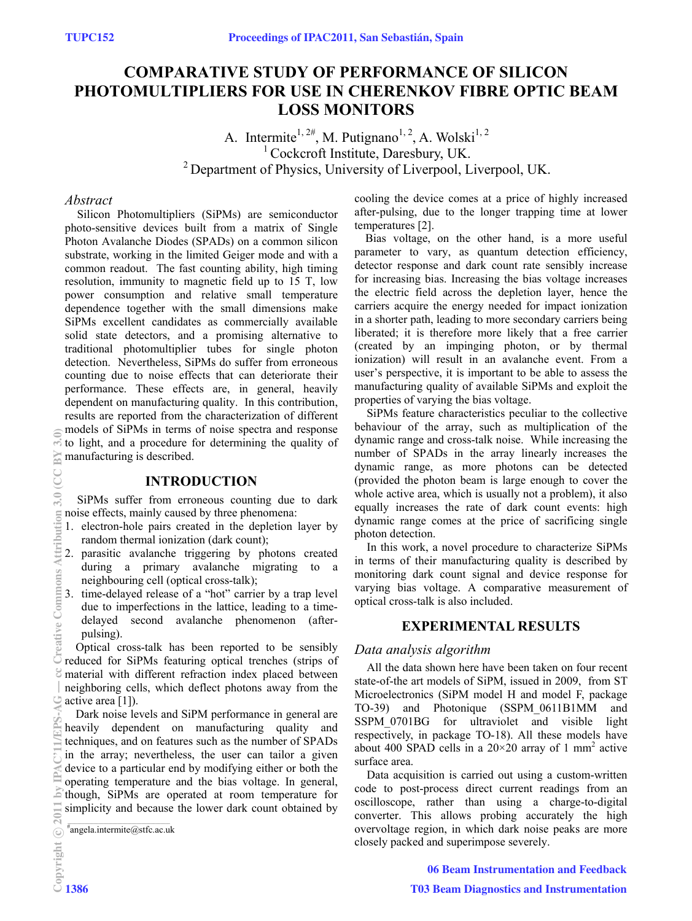# **COMPARATIVE STUDY OF PERFORMANCE OF SILICON PHOTOMULTIPLIERS FOR USE IN CHERENKOV FIBRE OPTIC BEAM LOSS MONITORS**

A. Intermite<sup>1, 2#</sup>, M. Putignano<sup>1, 2</sup>, A. Wolski<sup>1, 2</sup> <sup>1</sup> Cockcroft Institute, Daresbury, UK. 2 Department of Physics, University of Liverpool, Liverpool, UK.

#### *Abstract*

Silicon Photomultipliers (SiPMs) are semiconductor photo-sensitive devices built from a matrix of Single Photon Avalanche Diodes (SPADs) on a common silicon substrate, working in the limited Geiger mode and with a common readout. The fast counting ability, high timing resolution, immunity to magnetic field up to 15 T, low power consumption and relative small temperature dependence together with the small dimensions make SiPMs excellent candidates as commercially available solid state detectors, and a promising alternative to traditional photomultiplier tubes for single photon detection. Nevertheless, SiPMs do suffer from erroneous counting due to noise effects that can deteriorate their performance. These effects are, in general, heavily dependent on manufacturing quality. In this contribution, results are reported from the characterization of different models of SiPMs in terms of noise spectra and response to light, and a procedure for determining the quality of manufacturing is described.

# **INTRODUCTION**

SiPMs suffer from erroneous counting due to dark noise effects, mainly caused by three phenomena:

- 1. electron-hole pairs created in the depletion layer by random thermal ionization (dark count);
- 2. parasitic avalanche triggering by photons created during a primary avalanche migrating to a neighbouring cell (optical cross-talk);
- 3. time-delayed release of a "hot" carrier by a trap level due to imperfections in the lattice, leading to a timedelayed second avalanche phenomenon (afterpulsing).

Optical cross-talk has been reported to be sensibly reduced for SiPMs featuring optical trenches (strips of material with different refraction index placed between neighboring cells, which deflect photons away from the active area [1]).

Dark noise levels and SiPM performance in general are heavily dependent on manufacturing quality and techniques, and on features such as the number of SPADs in the array; nevertheless, the user can tailor a given device to a particular end by modifying either or both the operating temperature and the bias voltage. In general, though, SiPMs are operated at room temperature for simplicity and because the lower dark count obtained by

 $*$ angela.intermite@stfc.ac.uk

cooling the device comes at a price of highly increased after-pulsing, due to the longer trapping time at lower temperatures [2].

Bias voltage, on the other hand, is a more useful parameter to vary, as quantum detection efficiency, detector response and dark count rate sensibly increase for increasing bias. Increasing the bias voltage increases the electric field across the depletion layer, hence the carriers acquire the energy needed for impact ionization in a shorter path, leading to more secondary carriers being liberated; it is therefore more likely that a free carrier (created by an impinging photon, or by thermal ionization) will result in an avalanche event. From a user's perspective, it is important to be able to assess the manufacturing quality of available SiPMs and exploit the properties of varying the bias voltage.

SiPMs feature characteristics peculiar to the collective behaviour of the array, such as multiplication of the dynamic range and cross-talk noise. While increasing the number of SPADs in the array linearly increases the dynamic range, as more photons can be detected (provided the photon beam is large enough to cover the whole active area, which is usually not a problem), it also equally increases the rate of dark count events: high dynamic range comes at the price of sacrificing single photon detection.

In this work, a novel procedure to characterize SiPMs in terms of their manufacturing quality is described by monitoring dark count signal and device response for varying bias voltage. A comparative measurement of optical cross-talk is also included.

# **EXPERIMENTAL RESULTS**

### *Data analysis algorithm*

All the data shown here have been taken on four recent state-of-the art models of SiPM, issued in 2009, from ST Microelectronics (SiPM model H and model F, package TO-39) and Photonique (SSPM\_0611B1MM and SSPM\_0701BG for ultraviolet and visible light respectively, in package TO-18). All these models have about 400 SPAD cells in a  $20\times20$  array of 1 mm<sup>2</sup> active surface area.

Data acquisition is carried out using a custom-written code to post-process direct current readings from an oscilloscope, rather than using a charge-to-digital converter. This allows probing accurately the high overvoltage region, in which dark noise peaks are more closely packed and superimpose severely.

06 Beam Instrumentation and Feedback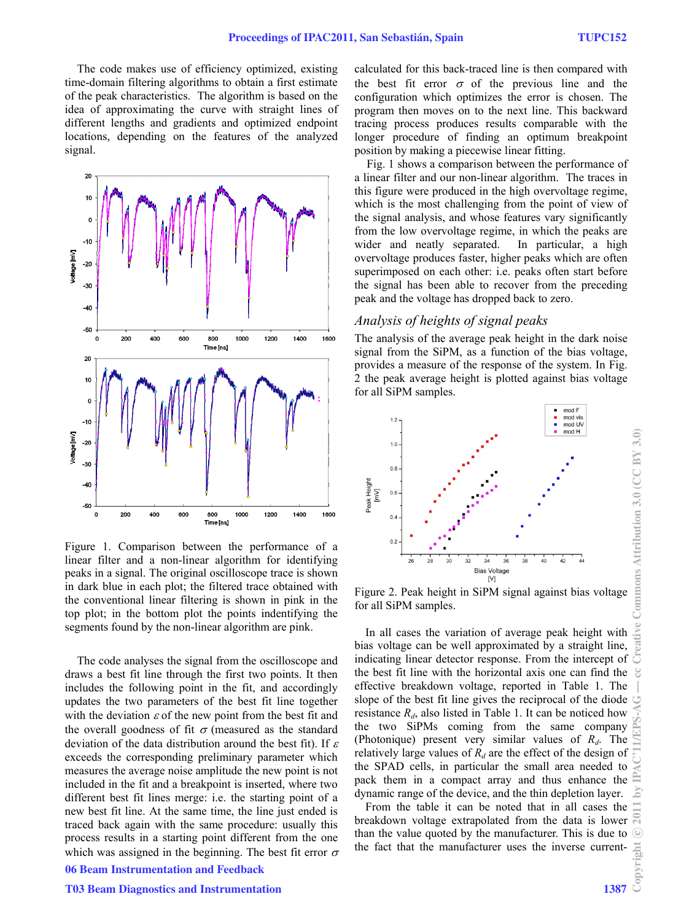The code makes use of efficiency optimized, existing time-domain filtering algorithms to obtain a first estimate of the peak characteristics. The algorithm is based on the idea of approximating the curve with straight lines of different lengths and gradients and optimized endpoint locations, depending on the features of the analyzed signal.



Figure 1. Comparison between the performance of a linear filter and a non-linear algorithm for identifying peaks in a signal. The original oscilloscope trace is shown in dark blue in each plot; the filtered trace obtained with the conventional linear filtering is shown in pink in the top plot; in the bottom plot the points indentifying the segments found by the non-linear algorithm are pink.

The code analyses the signal from the oscilloscope and draws a best fit line through the first two points. It then includes the following point in the fit, and accordingly updates the two parameters of the best fit line together with the deviation  $\varepsilon$  of the new point from the best fit and the overall goodness of fit  $\sigma$  (measured as the standard deviation of the data distribution around the best fit). If  $\varepsilon$ exceeds the corresponding preliminary parameter which measures the average noise amplitude the new point is not included in the fit and a breakpoint is inserted, where two different best fit lines merge: i.e. the starting point of a new best fit line. At the same time, the line just ended is traced back again with the same procedure: usually this process results in a starting point different from the one which was assigned in the beginning. The best fit error  $\sigma$ 06 Beam Instrumentation and Feedback

#### T03 Beam Diagnostics and Instrumentation 1387

calculated for this back-traced line is then compared with the best fit error  $\sigma$  of the previous line and the configuration which optimizes the error is chosen. The program then moves on to the next line. This backward tracing process produces results comparable with the longer procedure of finding an optimum breakpoint position by making a piecewise linear fitting.

Fig. 1 shows a comparison between the performance of a linear filter and our non-linear algorithm. The traces in this figure were produced in the high overvoltage regime, which is the most challenging from the point of view of the signal analysis, and whose features vary significantly from the low overvoltage regime, in which the peaks are wider and neatly separated. In particular, a high overvoltage produces faster, higher peaks which are often superimposed on each other: i.e. peaks often start before the signal has been able to recover from the preceding peak and the voltage has dropped back to zero.

# *Analysis of heights of signal peaks*

The analysis of the average peak height in the dark noise signal from the SiPM, as a function of the bias voltage, provides a measure of the response of the system. In Fig. 2 the peak average height is plotted against bias voltage for all SiPM samples.



Figure 2. Peak height in SiPM signal against bias voltage for all SiPM samples.

In all cases the variation of average peak height with bias voltage can be well approximated by a straight line, indicating linear detector response. From the intercept of the best fit line with the horizontal axis one can find the effective breakdown voltage, reported in Table 1. The slope of the best fit line gives the reciprocal of the diode resistance  $R_d$ , also listed in Table 1. It can be noticed how the two SiPMs coming from the same company (Photonique) present very similar values of *Rd*. The relatively large values of  $R_d$  are the effect of the design of the SPAD cells, in particular the small area needed to pack them in a compact array and thus enhance the dynamic range of the device, and the thin depletion layer.

From the table it can be noted that in all cases the breakdown voltage extrapolated from the data is lower than the value quoted by the manufacturer. This is due to the fact that the manufacturer uses the inverse current